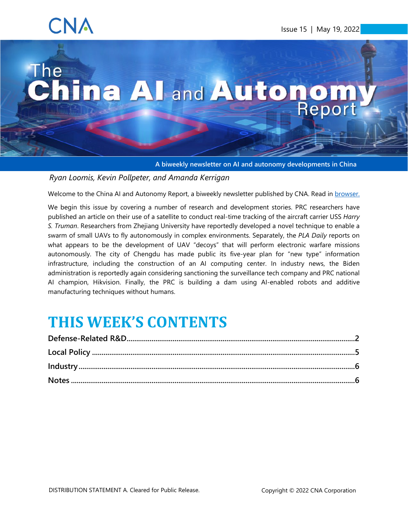## CNA

# The The China All and Autonom.

<span id="page-0-0"></span>**A biweekly newsletter on AI and autonomy developments in China**

#### *Ryan Loomis, Kevin Pollpeter, and Amanda Kerrigan*

Welcome to the China AI and Autonomy Report, a biweekly newsletter published by CNA. Read in [browser.](https://www.cna.org/centers/cna/cip/china/china-ai-newsletter)

We begin this issue by covering a number of research and development stories. PRC researchers have published an article on their use of a satellite to conduct real-time tracking of the aircraft carrier USS *Harry S. Truman*. Researchers from Zhejiang University have reportedly developed a novel technique to enable a swarm of small UAVs to fly autonomously in complex environments. Separately, the *PLA Daily* reports on what appears to be the development of UAV "decoys" that will perform electronic warfare missions autonomously. The city of Chengdu has made public its five-year plan for "new type" information infrastructure, including the construction of an AI computing center. In industry news, the Biden administration is reportedly again considering sanctioning the surveillance tech company and PRC national AI champion, Hikvision. Finally, the PRC is building a dam using AI-enabled robots and additive manufacturing techniques without humans.

### **THIS WEEK'S CONTENTS**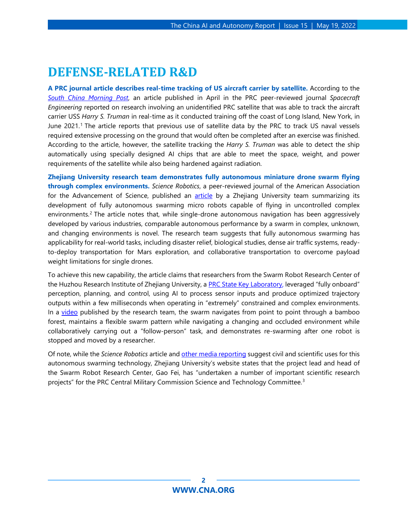#### <span id="page-1-0"></span>**DEFENSE-RELATED R&D**

**A PRC journal article describes real-time tracking of US aircraft carrier by satellite.** According to the *[South China Morning Post](https://www.scmp.com/news/china/science/article/3177079/chinese-smart-satellite-tracks-us-aircraft-carrier-real-time)*, an article published in April in the PRC peer-reviewed journal *Spacecraft Engineering* reported on research involving an unidentified PRC satellite that was able to track the aircraft carrier USS *Harry S. Truman* in real-time as it conducted training off the coast of Long Island, New York, in June 2021.[1](#page-6-0) The article reports that previous use of satellite data by the PRC to track US naval vessels required extensive processing on the ground that would often be completed after an exercise was finished. According to the article, however, the satellite tracking the *Harry S. Truman* was able to detect the ship automatically using specially designed AI chips that are able to meet the space, weight, and power requirements of the satellite while also being hardened against radiation.

**Zhejiang University research team demonstrates fully autonomous miniature drone swarm flying through complex environments.** *Science Robotics*, a peer-reviewed journal of the American Association for the Advancement of Science, published an [article](https://www.science.org/doi/10.1126/scirobotics.abm5954) by a Zhejiang University team summarizing its development of fully autonomous swarming micro robots capable of flying in uncontrolled complex environments.<sup>[2](#page-6-1)</sup> The article notes that, while single-drone autonomous navigation has been aggressively developed by various industries, comparable autonomous performance by a swarm in complex, unknown, and changing environments is novel. The research team suggests that fully autonomous swarming has applicability for real-world tasks, including disaster relief, biological studies, dense air traffic systems, readyto-deploy transportation for Mars exploration, and collaborative transportation to overcome payload weight limitations for single drones.

To achieve this new capability, the article claims that researchers from the Swarm Robot Research Center of the Huzhou Research Institute of Zhejiang University, a [PRC State Key Laboratory,](https://english.cas.cn/research/key_lab/) leveraged "fully onboard" perception, planning, and control, using AI to process sensor inputs and produce optimized trajectory outputs within a few milliseconds when operating in "extremely" constrained and complex environments. In a [video](https://www.youtube.com/watch?v=L0fJ0EHHfOA) published by the research team, the swarm navigates from point to point through a bamboo forest, maintains a flexible swarm pattern while navigating a changing and occluded environment while collaboratively carrying out a "follow-person" task, and demonstrates re-swarming after one robot is stopped and moved by a researcher.

Of note, while the *Science Robotics* article an[d other media reporting](http://szb.hz66.com/hzrb/html/2022-05/08/content_117511_14790445.htm) suggest civil and scientific uses for this autonomous swarming technology, Zhejiang University's website states that the project lead and head of the Swarm Robot Research Center, Gao Fei, has "undertaken a number of important scientific research projects" for the PRC Central Military Commission Science and Technology Committee.<sup>[3](#page-6-2)</sup>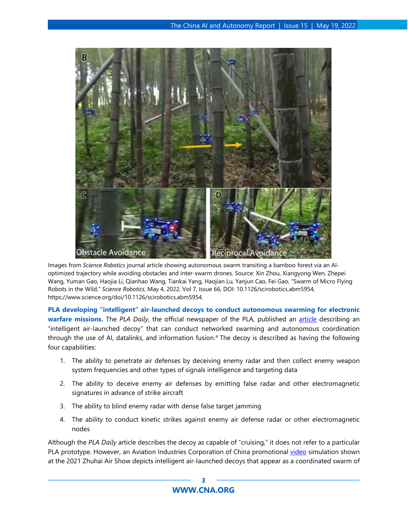

Images from *Science Robotics* journal article showing autonomous swarm transiting a bamboo forest via an AIoptimized trajectory while avoiding obstacles and inter-swarm drones. Source: Xin Zhou, Xiangyong Wen, Zhepei Wang, Yuman Gao, Haojia Li, Qianhao Wang, Tiankai Yang, Haojian Lu, Yanjun Cao, Fei Gao, "Swarm of Micro Flying Robots in the Wild," *Science Robotics*, May 4, 2022, Vol 7, Issue 66, DOI: 10.1126/scirobotics.abm5954, https://www.science.org/doi/10.1126/scirobotics.abm5954.

**PLA developing "intelligent" air-launched decoys to conduct autonomous swarming for electronic warfare missions.** The *PLA Daily*, the official newspaper of the PLA, published an [article](http://www.81.cn/jfjbmap/content/2022-05/06/content_314954.htm) describing an "intelligent air-launched decoy" that can conduct networked swarming and autonomous coordination through the use of AI, datalinks, and information fusion.[4](#page-7-0) The decoy is described as having the following four capabilities:

- 1. The ability to penetrate air defenses by deceiving enemy radar and then collect enemy weapon system frequencies and other types of signals intelligence and targeting data
- 2. The ability to deceive enemy air defenses by emitting false radar and other electromagnetic signatures in advance of strike aircraft
- 3. The ability to blind enemy radar with dense false target jamming
- 4. The ability to conduct kinetic strikes against enemy air defense radar or other electromagnetic nodes

Although the *PLA Daily* article describes the decoy as capable of "cruising," it does not refer to a particular PLA prototype. However, an Aviation Industries Corporation of China promotional [video](https://tv.cctv.com/2021/10/06/VIDEDvh7bTvrZLxpQzLotoTI211006.shtml?spm=C52346.PkjaaUOixzFJ.EBK2gmakG12W.163) simulation shown at the 2021 Zhuhai Air Show depicts intelligent air-launched decoys that appear as a coordinated swarm of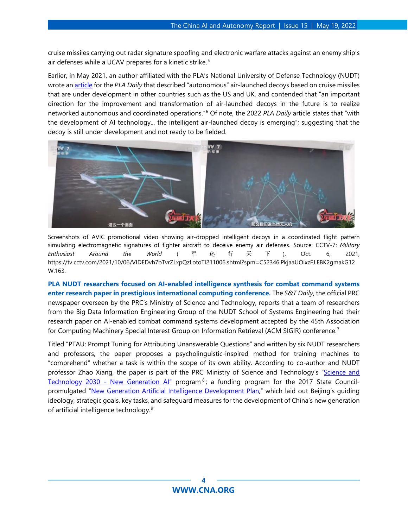cruise missiles carrying out radar signature spoofing and electronic warfare attacks against an enemy ship's air defenses while a UCAV prepares for a kinetic strike.<sup>[5](#page-7-1)</sup>

Earlier, in May 2021, an author affiliated with the PLA's National University of Defense Technology (NUDT) wrote an [article](http://www.81.cn/jfjbmap/content/2021-05/14/content_289334.htm) for the *PLA Daily* that described "autonomous" air-launched decoys based on cruise missiles that are under development in other countries such as the US and UK, and contended that "an important direction for the improvement and transformation of air-launched decoys in the future is to realize networked autonomous and coordinated operations."[6](#page-7-2) Of note, the 2022 *PLA Daily* article states that "with the development of AI technology... the intelligent air-launched decoy is emerging"; suggesting that the decoy is still under development and not ready to be fielded.



Screenshots of AVIC promotional video showing air-dropped intelligent decoys in a coordinated flight pattern simulating electromagnetic signatures of fighter aircraft to deceive enemy air defenses. Source: CCTV-7: *Military Enthusiast Around the World* ( 军迷行天下 ), Oct. 6, 2021, https://tv.cctv.com/2021/10/06/VIDEDvh7bTvrZLxpQzLotoTI211006.shtml?spm=C52346.PkjaaUOixzFJ.EBK2gmakG12 W.163.

**PLA NUDT researchers focused on AI-enabled intelligence synthesis for combat command systems enter research paper in prestigious international computing conference.** The *S&T Daily*, the official PRC newspaper overseen by the PRC's Ministry of Science and Technology, [reports](https://tech.gmw.cn/2022-05/09/content_35720175.htm) that a team of researchers from the Big Data Information Engineering Group of the NUDT School of Systems Engineering had their research paper on AI-enabled combat command systems development accepted by the 45th Association for Computing Machinery Special Interest Group on Information Retrieval (ACM SIGIR) conference.[7](#page-7-3)

Titled "PTAU: Prompt Tuning for Attributing Unanswerable Questions" and written by six NUDT researchers and professors, the paper proposes a psycholinguistic-inspired method for training machines to "comprehend" whether a task is within the scope of its own ability. According to co-author and NUDT professor Zhao Xiang, the paper is part of the PRC Ministry of Science and Technology's "Science and Technology 2030 - New Generation Al" program<sup>[8](#page-7-4)</sup>; a funding program for the 2017 State Council-promulgated ["New Generation Artificial Intelligence Development Plan,](http://www.gov.cn/xinwen/2017-07/20/content_5212064.htm)" which laid out Beijing's guiding ideology, strategic goals, key tasks, and safeguard measures for the development of China's new generation of artificial intelligence technology.[9](#page-7-5)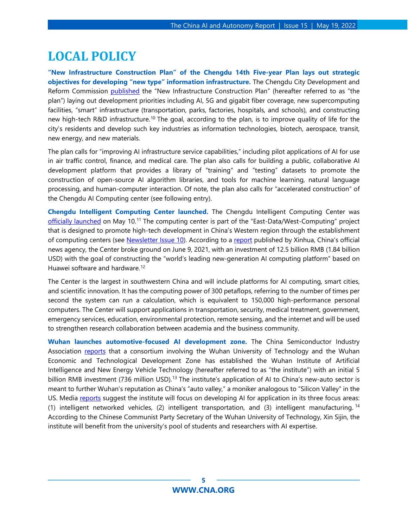#### <span id="page-4-0"></span>**LOCAL POLICY**

**"New Infrastructure Construction Plan" of the Chengdu 14th Five-year Plan lays out strategic objectives for developing "new type" information infrastructure.** The Chengdu City Development and Reform Commission [published](http://gk.chengdu.gov.cn/uploadfiles/0703050209/2022050713343485.pdf) the "New Infrastructure Construction Plan" (hereafter referred to as "the plan") laying out development priorities including AI, 5G and gigabit fiber coverage, new supercomputing facilities, "smart" infrastructure (transportation, parks, factories, hospitals, and schools), and constructing new high-tech R&D infrastructure.<sup>[10](#page-7-6)</sup> The goal, according to the plan, is to improve quality of life for the city's residents and develop such key industries as information technologies, biotech, aerospace, transit, new energy, and new materials.

The plan calls for "improving AI infrastructure service capabilities," including pilot applications of AI for use in air traffic control, finance, and medical care. The plan also calls for building a public, collaborative AI development platform that provides a library of "training" and "testing" datasets to promote the construction of open-source AI algorithm libraries, and tools for machine learning, natural language processing, and human-computer interaction. Of note, the plan also calls for "accelerated construction" of the Chengdu AI Computing center (see following entry).

**Chengdu Intelligent Computing Center launched.** The Chengdu Intelligent Computing Center was [officially launched](https://chinatoday.news/news?Id=202205110009101) on May 10.[11](#page-7-7) The computing center is part of the "East-Data/West-Computing" project that is designed to promote high-tech development in China's Western region through the establishment of computing centers (see [Newsletter Issue 10\)](https://www.cna.org/our-media/newsletters/china-ai-and-autonomy-report/issue-10). According to a [report](http://www.xinhuanet.com/tech/2021-06/10/c_1127549362.htm) published by Xinhua, China's official news agency, the Center broke ground on June 9, 2021, with an investment of 12.5 billion RMB (1.84 billion USD) with the goal of constructing the "world's leading new-generation AI computing platform" based on Huawei software and hardware.<sup>[12](#page-7-8)</sup>

The Center is the largest in southwestern China and will include platforms for AI computing, smart cities, and scientific innovation. It has the computing power of 300 petaflops, referring to the number of times per second the system can run a calculation, which is equivalent to 150,000 high-performance personal computers. The Center will support applications in transportation, security, medical treatment, government, emergency services, education, environmental protection, remote sensing, and the internet and will be used to strengthen research collaboration between academia and the business community.

**Wuhan launches automotive-focused AI development zone.** The China Semiconductor Industry Association [reports](http://www.csia.net.cn/Article/ShowInfo.asp?InfoID=108323) that a consortium involving the Wuhan University of Technology and the Wuhan Economic and Technological Development Zone has established the Wuhan Institute of Artificial Intelligence and New Energy Vehicle Technology (hereafter referred to as "the institute") with an initial 5 billion RMB investment (736 million USD).<sup>[13](#page-7-9)</sup> The institute's application of AI to China's new-auto sector is meant to further Wuhan's reputation as China's "auto valley," a moniker analogous to "Silicon Valley" in the US. Media [reports](https://new.qq.com/omn/20220512/20220512A06QY600.html) suggest the institute will focus on developing AI for application in its three focus areas: (1) intelligent networked vehicles, (2) intelligent transportation, and (3) intelligent manufacturing. [14](#page-7-10) According to the Chinese Communist Party Secretary of the Wuhan University of Technology, Xin Sijin, the institute will benefit from the university's pool of students and researchers with AI expertise.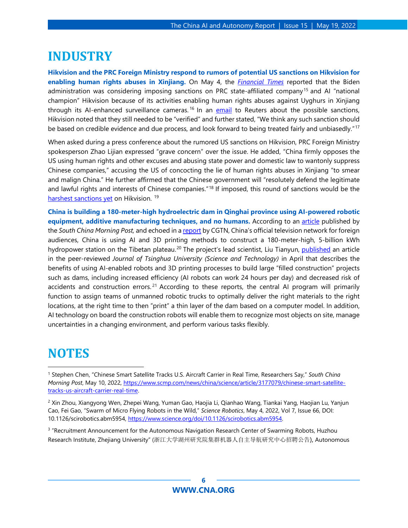#### <span id="page-5-0"></span>**INDUSTRY**

**Hikvision and the PRC Foreign Ministry respond to rumors of potential US sanctions on Hikvision for enabling human rights abuses in Xinjiang.** On May 4, the *[Financial Times](https://www.ft.com/content/7bc70335-138e-4f56-afe1-ae4383eefb2b)* reported that the Biden administration was considering imposing sanctions on PRC state-affiliated company<sup>[15](#page-7-11)</sup> and AI "national champion" Hikvision because of its activities enabling human rights abuses against Uyghurs in Xinjiang through its AI-enhanced surveillance cameras.<sup>[16](#page-8-0)</sup> In an [email](https://www.reuters.com/technology/us-plans-impose-sanctions-chinas-hikvision-ft-2022-05-04/) to Reuters about the possible sanctions, Hikvision noted that they still needed to be "verified" and further stated, "We think any such sanction should be based on credible evidence and due process, and look forward to being treated fairly and unbiasedly."<sup>[17](#page-8-1)</sup>

When asked during a press conference about the rumored US sanctions on Hikvision, PRC Foreign Ministry spokesperson Zhao Lijian expressed "grave concern" over the issue. He added, "China firmly opposes the US using human rights and other excuses and abusing state power and domestic law to wantonly suppress Chinese companies," accusing the US of concocting the lie of human rights abuses in Xinjiang "to smear and malign China." He further affirmed that the Chinese government will "resolutely defend the legitimate and lawful rights and interests of Chinese companies.<sup>"[18](#page-8-2)</sup> If imposed, this round of sanctions would be the [harshest sanctions yet](https://www.bloomberg.com/news/articles/2022-05-05/u-s-mulls-unprecedented-sanctions-on-china-tech-giant-hikvision) on Hikvision.<sup>[19](#page-8-3)</sup>

**China is building a 180-meter-high hydroelectric dam in Qinghai province using AI-powered robotic equipment, additive manufacturing techniques, and no humans.** According to an [article](https://www.scmp.com/news/china/science/article/3176777/chinas-robot-built-3d-printed-dam-ready-2-years-scientists) published by the *South China Morning Post,* and echoed in a [report](https://news.cgtn.com/news/2022-05-10/Yangqu-hydropower-plant-construction-uses-3D-printing-technology-19VDJ4hqANi/index.html) by CGTN, China's official television network for foreign audiences, China is using AI and 3D printing methods to construct a 180-meter-high, 5-billion kWh hydropower station on the Tibetan plateau.<sup>[20](#page-8-4)</sup> The project's lead scientist, Liu Tianyun, [published](http://jst.tsinghuajournals.com/EN/10.16511/j.cnki.qhdxxb.2022.25.045) an article in the peer-reviewed *Journal of Tsinghua University (Science and Technology)* in April that describes the benefits of using AI-enabled robots and 3D printing processes to build large "filled construction" projects such as dams, including increased efficiency (AI robots can work 24 hours per day) and decreased risk of accidents and construction errors.<sup>[21](#page-8-5)</sup> According to these reports, the central AI program will primarily function to assign teams of unmanned robotic trucks to optimally deliver the right materials to the right locations, at the right time to then "print" a thin layer of the dam based on a computer model. In addition, AI technology on board the construction robots will enable them to recognize most objects on site, manage uncertainties in a changing environment, and perform various tasks flexibly.

#### <span id="page-5-1"></span>**NOTES**

<sup>3</sup> "Recruitment Announcement for the Autonomous Navigation Research Center of Swarming Robots, Huzhou Research Institute, Zhejiang University" (浙江大学湖州研究院集群机器人自主导航研究中心招聘公告), Autonomous

<sup>1</sup> Stephen Chen, "Chinese Smart Satellite Tracks U.S. Aircraft Carrier in Real Time, Researchers Say," *South China Morning Post*, May 10, 2022, [https://www.scmp.com/news/china/science/article/3177079/chinese-smart-satellite](https://www.scmp.com/news/china/science/article/3177079/chinese-smart-satellite-tracks-us-aircraft-carrier-real-time)[tracks-us-aircraft-carrier-real-time.](https://www.scmp.com/news/china/science/article/3177079/chinese-smart-satellite-tracks-us-aircraft-carrier-real-time)

<sup>2</sup> Xin Zhou, Xiangyong Wen, Zhepei Wang, Yuman Gao, Haojia Li, Qianhao Wang, Tiankai Yang, Haojian Lu, Yanjun Cao, Fei Gao, "Swarm of Micro Flying Robots in the Wild," *Science Robotics*, May 4, 2022, Vol 7, Issue 66, DOI: 10.1126/scirobotics.abm5954, [https://www.science.org/doi/10.1126/scirobotics.abm5954.](https://www.science.org/doi/10.1126/scirobotics.abm5954)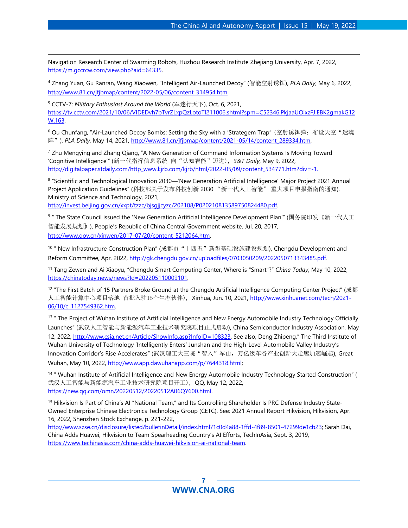Navigation Research Center of Swarming Robots, Huzhou Research Institute Zhejiang University, Apr. 7, 2022, [https://m.gccrcw.com/view.php?aid=64335.](https://m.gccrcw.com/view.php?aid=64335)

<sup>4</sup> Zhang Yuan, Gu Ranran, Wang Xiaowen, "Intelligent Air-Launched Decoy" (智能空射诱饵), *PLA Daily*, May 6, 2022, [http://www.81.cn/jfjbmap/content/2022-05/06/content\\_314954.htm.](http://www.81.cn/jfjbmap/content/2022-05/06/content_314954.htm)

<sup>5</sup> CCTV-7: *Military Enthusiast Around the World* (军迷行天下), Oct. 6, 2021, [https://tv.cctv.com/2021/10/06/VIDEDvh7bTvrZLxpQzLotoTI211006.shtml?spm=C52346.PkjaaUOixzFJ.EBK2gmakG12](https://tv.cctv.com/2021/10/06/VIDEDvh7bTvrZLxpQzLotoTI211006.shtml?spm=C52346.PkjaaUOixzFJ.EBK2gmakG12W.163) [W.163.](https://tv.cctv.com/2021/10/06/VIDEDvh7bTvrZLxpQzLotoTI211006.shtml?spm=C52346.PkjaaUOixzFJ.EBK2gmakG12W.163)

<sup>6</sup> Ou Chunfang, "Air-Launched Decoy Bombs: Setting the Sky with a 'Strategem Trap" (空射诱饵弹: 布设天空"迷魂 阵"), *PLA Daily*, May 14, 2021, http://www.81.cn/jfibmap/content/2021-05/14/content\_289334.htm.

<sup>7</sup> Zhu Mengying and Zhang Qiang, "A New Generation of Command Information Systems Is Moving Toward 'Cognitive Intelligence'" (新一代指挥信息系统 向"认知智能"迈进), *S&T Daily*, May 9, 2022, [http://digitalpaper.stdaily.com/http\\_www.kjrb.com/kjrb/html/2022-05/09/content\\_534771.htm?div=-1.](http://digitalpaper.stdaily.com/http_www.kjrb.com/kjrb/html/2022-05/09/content_534771.htm?div=-1)

<sup>8</sup> "Scientific and Technological Innovation 2030—'New Generation Artificial Intelligence' Major Project 2021 Annual Project Application Guidelines" (科技部关于发布科技创新 2030 "新一代人工智能" 重大项目申报指南的通知), Ministry of Science and Technology, 2021, [http://invest.beijing.gov.cn/xxpt/tzzc/bjsgjjcyzc/202108/P020210813589750824480.pdf.](http://invest.beijing.gov.cn/xxpt/tzzc/bjsgjjcyzc/202108/P020210813589750824480.pdf)

<sup>9</sup> " The State Council issued the 'New Generation Artificial Intelligence Development Plan'" (国务院印发《新一代人工 智能发展规划》), People's Republic of China Central Government website, Jul. 20, 2017, [http://www.gov.cn/xinwen/2017-07/20/content\\_5212064.htm.](http://www.gov.cn/xinwen/2017-07/20/content_5212064.htm)

<sup>10</sup> " New Infrastructure Construction Plan" (成都市"十四五"新型基础设施建设规划), Chengdu Development and Reform Committee, Apr. 2022, [http://gk.chengdu.gov.cn/uploadfiles/0703050209/2022050713343485.pdf.](http://gk.chengdu.gov.cn/uploadfiles/0703050209/2022050713343485.pdf)

<sup>11</sup> Tang Zewen and Ai Xiaoyu, "Chengdu Smart Computing Center, Where is "Smart"?" *China Today*, May 10, 2022, [https://chinatoday.news/news?Id=202205110009101.](https://chinatoday.news/news?Id=202205110009101)

 $12$  "The First Batch of 15 Partners Broke Ground at the Chengdu Artificial Intelligence Computing Center Project" (成都 人工智能计算中心项目落地 首批入驻15个生态伙伴), Xinhua, Jun. 10, 2021, [http://www.xinhuanet.com/tech/2021-](http://www.xinhuanet.com/tech/2021-06/10/c_1127549362.htm) [06/10/c\\_1127549362.htm.](http://www.xinhuanet.com/tech/2021-06/10/c_1127549362.htm)

<sup>13</sup> " The Project of Wuhan Institute of Artificial Intelligence and New Energy Automobile Industry Technology Officially Launches" (武汉人工智能与新能源汽车工业技术研究院项目正式启动), China Semiconductor Industry Association, May 12, 2022, [http://www.csia.net.cn/Article/ShowInfo.asp?InfoID=108323.](http://www.csia.net.cn/Article/ShowInfo.asp?InfoID=108323) See also, Deng Zhipeng," The Third Institute of Wuhan University of Technology 'Intelligently Enters' Junshan and the High-Level Automobile Valley Industry's Innovation Corridor's Rise Accelerates" (武汉理工大三院"智入"军山, 万亿级车谷产业创新大走廊加速崛起), Great Wuhan, May 10, 2022, [http://www.app.dawuhanapp.com/p/7644318.html;](http://www.app.dawuhanapp.com/p/7644318.html) 

<span id="page-6-0"></span><sup>14</sup> " Wuhan Institute of Artificial Intelligence and New Energy Automobile Industry Technology Started Construction" ( 武汉人工智能与新能源汽车工业技术研究院项目开工), QQ, May 12, 2022, [https://new.qq.com/omn/20220512/20220512A06QY600.html.](https://new.qq.com/omn/20220512/20220512A06QY600.html)

<span id="page-6-1"></span><sup>15</sup> Hikvision Is Part of China's AI "National Team," and Its Controlling Shareholder Is PRC Defense Industry State-Owned Enterprise Chinese Electronics Technology Group (CETC). See: 2021 Annual Report Hikvision, Hikvision, Apr. 16, 2022, Shenzhen Stock Exchange, p. 221-222,

<span id="page-6-2"></span>[http://www.szse.cn/disclosure/listed/bulletinDetail/index.html?1c0d4a88-1ffd-4f89-8501-47299de1cb23;](http://www.szse.cn/disclosure/listed/bulletinDetail/index.html?1c0d4a88-1ffd-4f89-8501-47299de1cb23) Sarah Dai, China Adds Huawei, Hikvision to Team Spearheading Country's AI Efforts, TechInAsia, Sept. 3, 2019, [https://www.techinasia.com/china-adds-huawei-hikvision-ai-national-team.](https://www.techinasia.com/china-adds-huawei-hikvision-ai-national-team)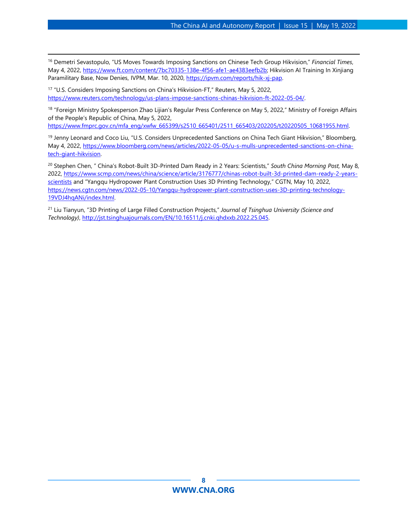<sup>16</sup> Demetri Sevastopulo, "US Moves Towards Imposing Sanctions on Chinese Tech Group Hikvision," *Financial Times*, May 4, 2022[, https://www.ft.com/content/7bc70335-138e-4f56-afe1-ae4383eefb2b;](https://www.ft.com/content/7bc70335-138e-4f56-afe1-ae4383eefb2b) Hikvision AI Training In Xinjiang Paramilitary Base, Now Denies, IVPM, Mar. 10, 2020, [https://ipvm.com/reports/hik-xj-pap.](https://ipvm.com/reports/hik-xj-pap) 

<span id="page-7-0"></span><sup>17</sup> "U.S. Considers Imposing Sanctions on China's Hikvision-FT," Reuters, May 5, 2022, [https://www.reuters.com/technology/us-plans-impose-sanctions-chinas-hikvision-ft-2022-05-04/.](https://www.reuters.com/technology/us-plans-impose-sanctions-chinas-hikvision-ft-2022-05-04/) 

<span id="page-7-1"></span>18 "Foreign Ministry Spokesperson Zhao Lijian's Regular Press Conference on May 5, 2022," Ministry of Foreign Affairs of the People's Republic of China, May 5, 2022,

https://www.fmprc.gov.cn/mfa\_eng/xwfw\_665399/s2510\_665401/2511\_665403/202205/t20220505\_10681955.html.

<span id="page-7-2"></span><sup>19</sup> Jenny Leonard and Coco Liu, "U.S. Considers Unprecedented Sanctions on China Tech Giant Hikvision," Bloomberg, May 4, 2022[, https://www.bloomberg.com/news/articles/2022-05-05/u-s-mulls-unprecedented-sanctions-on-china](https://www.bloomberg.com/news/articles/2022-05-05/u-s-mulls-unprecedented-sanctions-on-china-tech-giant-hikvision)[tech-giant-hikvision.](https://www.bloomberg.com/news/articles/2022-05-05/u-s-mulls-unprecedented-sanctions-on-china-tech-giant-hikvision) 

<span id="page-7-4"></span><span id="page-7-3"></span><sup>20</sup> Stephen Chen, " China's Robot-Built 3D-Printed Dam Ready in 2 Years: Scientists," *South China Morning Post,* May 8, 2022, [https://www.scmp.com/news/china/science/article/3176777/chinas-robot-built-3d-printed-dam-ready-2-years](https://www.scmp.com/news/china/science/article/3176777/chinas-robot-built-3d-printed-dam-ready-2-years-scientists)[scientists](https://www.scmp.com/news/china/science/article/3176777/chinas-robot-built-3d-printed-dam-ready-2-years-scientists) and "Yangqu Hydropower Plant Construction Uses 3D Printing Technology," CGTN, May 10, 2022, [https://news.cgtn.com/news/2022-05-10/Yangqu-hydropower-plant-construction-uses-3D-printing-technology-](https://news.cgtn.com/news/2022-05-10/Yangqu-hydropower-plant-construction-uses-3D-printing-technology-19VDJ4hqANi/index.html)[19VDJ4hqANi/index.html.](https://news.cgtn.com/news/2022-05-10/Yangqu-hydropower-plant-construction-uses-3D-printing-technology-19VDJ4hqANi/index.html)

<span id="page-7-11"></span><span id="page-7-10"></span><span id="page-7-9"></span><span id="page-7-8"></span><span id="page-7-7"></span><span id="page-7-6"></span><span id="page-7-5"></span><sup>21</sup> Liu Tianyun, "3D Printing of Large Filled Construction Projects," *Journal of Tsinghua University (Science and Technology)*, [http://jst.tsinghuajournals.com/EN/10.16511/j.cnki.qhdxxb.2022.25.045.](http://jst.tsinghuajournals.com/EN/10.16511/j.cnki.qhdxxb.2022.25.045)